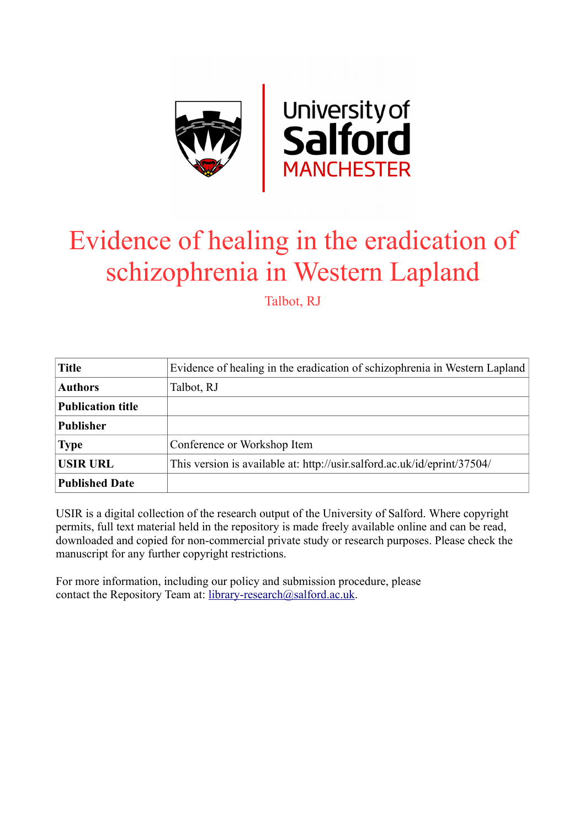

# Evidence of healing in the eradication of schizophrenia in Western Lapland

Talbot, RJ

| <b>Title</b>             | Evidence of healing in the eradication of schizophrenia in Western Lapland |
|--------------------------|----------------------------------------------------------------------------|
| <b>Authors</b>           | Talbot, RJ                                                                 |
| <b>Publication title</b> |                                                                            |
| <b>Publisher</b>         |                                                                            |
| <b>Type</b>              | Conference or Workshop Item                                                |
| <b>USIR URL</b>          | This version is available at: http://usir.salford.ac.uk/id/eprint/37504/   |
| <b>Published Date</b>    |                                                                            |

USIR is a digital collection of the research output of the University of Salford. Where copyright permits, full text material held in the repository is made freely available online and can be read, downloaded and copied for non-commercial private study or research purposes. Please check the manuscript for any further copyright restrictions.

For more information, including our policy and submission procedure, please contact the Repository Team at: [library-research@salford.ac.uk.](mailto:library-research@salford.ac.uk)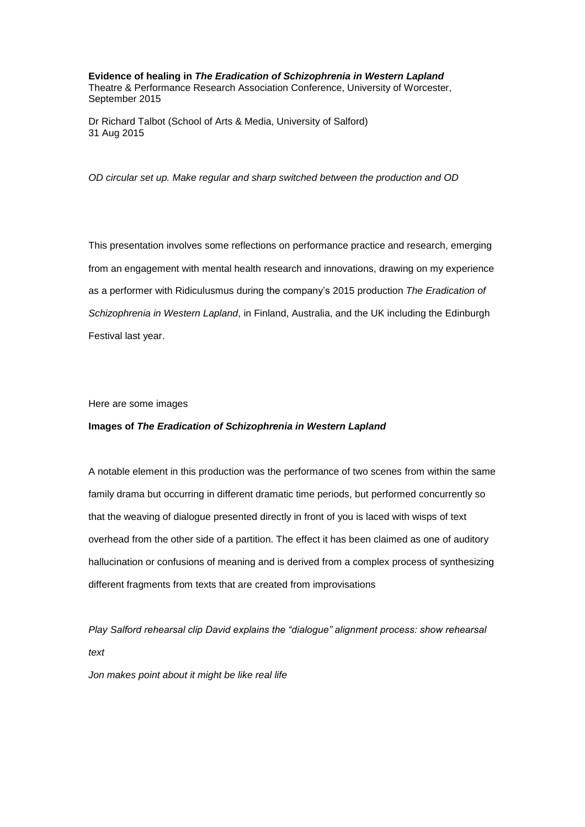**Evidence of healing in** *The Eradication of Schizophrenia in Western Lapland* Theatre & Performance Research Association Conference, University of Worcester, September 2015

Dr Richard Talbot (School of Arts & Media, University of Salford) 31 Aug 2015

*OD circular set up. Make regular and sharp switched between the production and OD*

This presentation involves some reflections on performance practice and research, emerging from an engagement with mental health research and innovations, drawing on my experience as a performer with Ridiculusmus during the company's 2015 production *The Eradication of Schizophrenia in Western Lapland*, in Finland, Australia, and the UK including the Edinburgh Festival last year.

Here are some images

### **Images of** *The Eradication of Schizophrenia in Western Lapland*

A notable element in this production was the performance of two scenes from within the same family drama but occurring in different dramatic time periods, but performed concurrently so that the weaving of dialogue presented directly in front of you is laced with wisps of text overhead from the other side of a partition. The effect it has been claimed as one of auditory hallucination or confusions of meaning and is derived from a complex process of synthesizing different fragments from texts that are created from improvisations

*Play Salford rehearsal clip David explains the "dialogue" alignment process: show rehearsal text*

*Jon makes point about it might be like real life*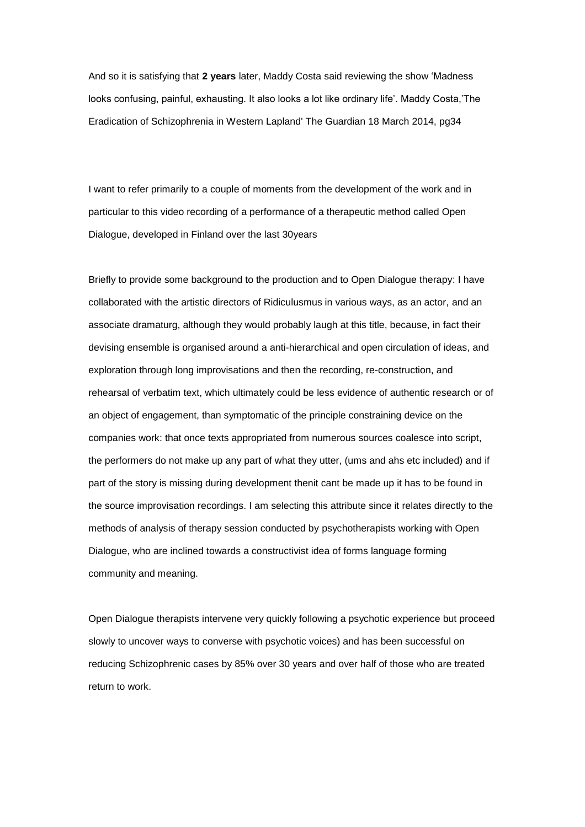And so it is satisfying that **2 years** later, Maddy Costa said reviewing the show 'Madness looks confusing, painful, exhausting. It also looks a lot like ordinary life'. Maddy Costa,'The Eradication of Schizophrenia in Western Lapland' The Guardian 18 March 2014, pg34

I want to refer primarily to a couple of moments from the development of the work and in particular to this video recording of a performance of a therapeutic method called Open Dialogue, developed in Finland over the last 30years

Briefly to provide some background to the production and to Open Dialogue therapy: I have collaborated with the artistic directors of Ridiculusmus in various ways, as an actor, and an associate dramaturg, although they would probably laugh at this title, because, in fact their devising ensemble is organised around a anti-hierarchical and open circulation of ideas, and exploration through long improvisations and then the recording, re-construction, and rehearsal of verbatim text, which ultimately could be less evidence of authentic research or of an object of engagement, than symptomatic of the principle constraining device on the companies work: that once texts appropriated from numerous sources coalesce into script, the performers do not make up any part of what they utter, (ums and ahs etc included) and if part of the story is missing during development thenit cant be made up it has to be found in the source improvisation recordings. I am selecting this attribute since it relates directly to the methods of analysis of therapy session conducted by psychotherapists working with Open Dialogue, who are inclined towards a constructivist idea of forms language forming community and meaning.

Open Dialogue therapists intervene very quickly following a psychotic experience but proceed slowly to uncover ways to converse with psychotic voices) and has been successful on reducing Schizophrenic cases by 85% over 30 years and over half of those who are treated return to work.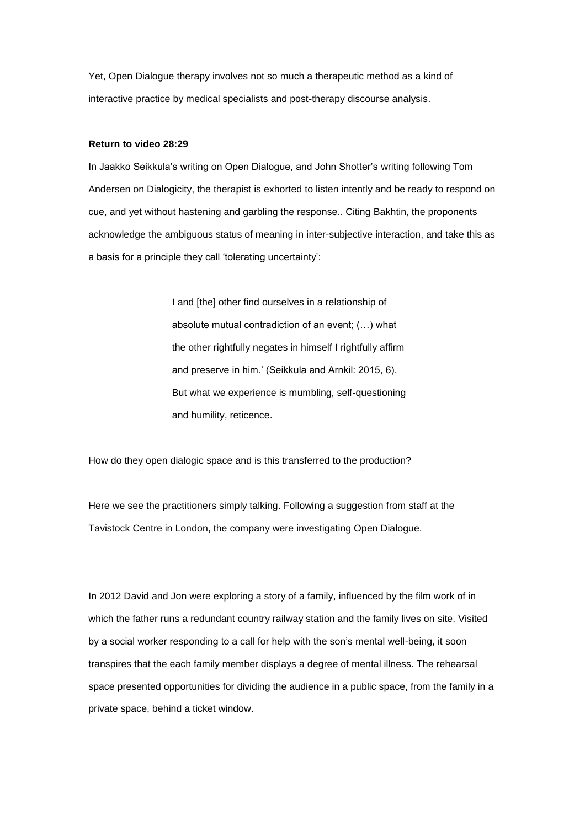Yet, Open Dialogue therapy involves not so much a therapeutic method as a kind of interactive practice by medical specialists and post-therapy discourse analysis.

## **Return to video 28:29**

In Jaakko Seikkula's writing on Open Dialogue, and John Shotter's writing following Tom Andersen on Dialogicity, the therapist is exhorted to listen intently and be ready to respond on cue, and yet without hastening and garbling the response.. Citing Bakhtin, the proponents acknowledge the ambiguous status of meaning in inter-subjective interaction, and take this as a basis for a principle they call 'tolerating uncertainty':

> I and [the] other find ourselves in a relationship of absolute mutual contradiction of an event; (…) what the other rightfully negates in himself I rightfully affirm and preserve in him.' (Seikkula and Arnkil: 2015, 6). But what we experience is mumbling, self-questioning and humility, reticence.

How do they open dialogic space and is this transferred to the production?

Here we see the practitioners simply talking. Following a suggestion from staff at the Tavistock Centre in London, the company were investigating Open Dialogue.

In 2012 David and Jon were exploring a story of a family, influenced by the film work of in which the father runs a redundant country railway station and the family lives on site. Visited by a social worker responding to a call for help with the son's mental well-being, it soon transpires that the each family member displays a degree of mental illness. The rehearsal space presented opportunities for dividing the audience in a public space, from the family in a private space, behind a ticket window.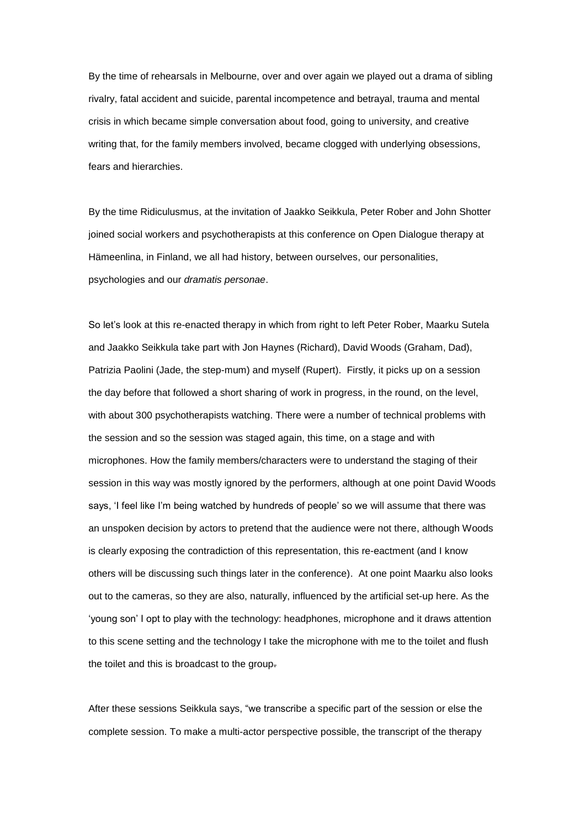By the time of rehearsals in Melbourne, over and over again we played out a drama of sibling rivalry, fatal accident and suicide, parental incompetence and betrayal, trauma and mental crisis in which became simple conversation about food, going to university, and creative writing that, for the family members involved, became clogged with underlying obsessions, fears and hierarchies.

By the time Ridiculusmus, at the invitation of Jaakko Seikkula, Peter Rober and John Shotter joined social workers and psychotherapists at this conference on Open Dialogue therapy at Hämeenlina, in Finland, we all had history, between ourselves, our personalities, psychologies and our *dramatis personae*.

So let's look at this re-enacted therapy in which from right to left Peter Rober, Maarku Sutela and Jaakko Seikkula take part with Jon Haynes (Richard), David Woods (Graham, Dad), Patrizia Paolini (Jade, the step-mum) and myself (Rupert). Firstly, it picks up on a session the day before that followed a short sharing of work in progress, in the round, on the level, with about 300 psychotherapists watching. There were a number of technical problems with the session and so the session was staged again, this time, on a stage and with microphones. How the family members/characters were to understand the staging of their session in this way was mostly ignored by the performers, although at one point David Woods says, 'I feel like I'm being watched by hundreds of people' so we will assume that there was an unspoken decision by actors to pretend that the audience were not there, although Woods is clearly exposing the contradiction of this representation, this re-eactment (and I know others will be discussing such things later in the conference). At one point Maarku also looks out to the cameras, so they are also, naturally, influenced by the artificial set-up here. As the 'young son' I opt to play with the technology: headphones, microphone and it draws attention to this scene setting and the technology I take the microphone with me to the toilet and flush the toilet and this is broadcast to the group.

After these sessions Seikkula says, "we transcribe a specific part of the session or else the complete session. To make a multi-actor perspective possible, the transcript of the therapy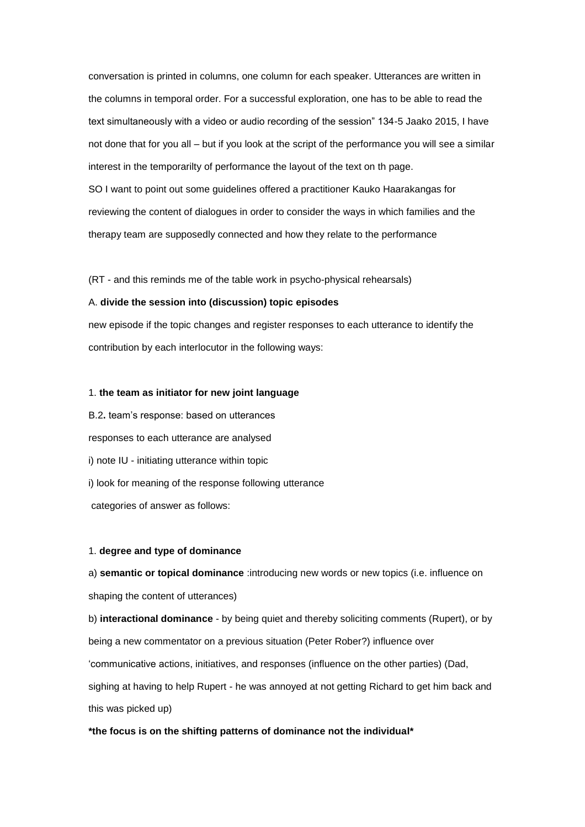conversation is printed in columns, one column for each speaker. Utterances are written in the columns in temporal order. For a successful exploration, one has to be able to read the text simultaneously with a video or audio recording of the session" 134-5 Jaako 2015, I have not done that for you all – but if you look at the script of the performance you will see a similar interest in the temporarilty of performance the layout of the text on th page. SO I want to point out some guidelines offered a practitioner Kauko Haarakangas for reviewing the content of dialogues in order to consider the ways in which families and the therapy team are supposedly connected and how they relate to the performance

(RT - and this reminds me of the table work in psycho-physical rehearsals)

#### A. **divide the session into (discussion) topic episodes**

new episode if the topic changes and register responses to each utterance to identify the contribution by each interlocutor in the following ways:

## 1. **the team as initiator for new joint language**

B.2**.** team's response: based on utterances responses to each utterance are analysed i) note IU - initiating utterance within topic i) look for meaning of the response following utterance categories of answer as follows:

#### 1. **degree and type of dominance**

a) **semantic or topical dominance** :introducing new words or new topics (i.e. influence on shaping the content of utterances)

b) **interactional dominance** - by being quiet and thereby soliciting comments (Rupert), or by being a new commentator on a previous situation (Peter Rober?) influence over 'communicative actions, initiatives, and responses (influence on the other parties) (Dad, sighing at having to help Rupert - he was annoyed at not getting Richard to get him back and this was picked up)

# **\*the focus is on the shifting patterns of dominance not the individual\***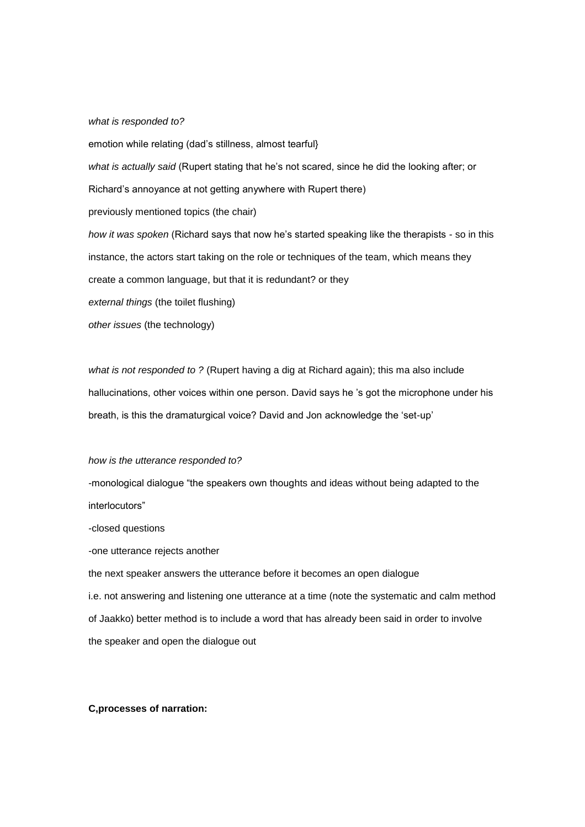## *what is responded to?*

emotion while relating (dad's stillness, almost tearful} *what is actually said* (Rupert stating that he's not scared, since he did the looking after; or Richard's annoyance at not getting anywhere with Rupert there) previously mentioned topics (the chair) *how it was spoken* (Richard says that now he's started speaking like the therapists - so in this instance, the actors start taking on the role or techniques of the team, which means they create a common language, but that it is redundant? or they *external things* (the toilet flushing) *other issues* (the technology)

*what is not responded to ?* (Rupert having a dig at Richard again); this ma also include hallucinations, other voices within one person. David says he 's got the microphone under his breath, is this the dramaturgical voice? David and Jon acknowledge the 'set-up'

## *how is the utterance responded to?*

-monological dialogue "the speakers own thoughts and ideas without being adapted to the interlocutors"

-closed questions

-one utterance rejects another

the next speaker answers the utterance before it becomes an open dialogue i.e. not answering and listening one utterance at a time (note the systematic and calm method of Jaakko) better method is to include a word that has already been said in order to involve the speaker and open the dialogue out

## **C,processes of narration:**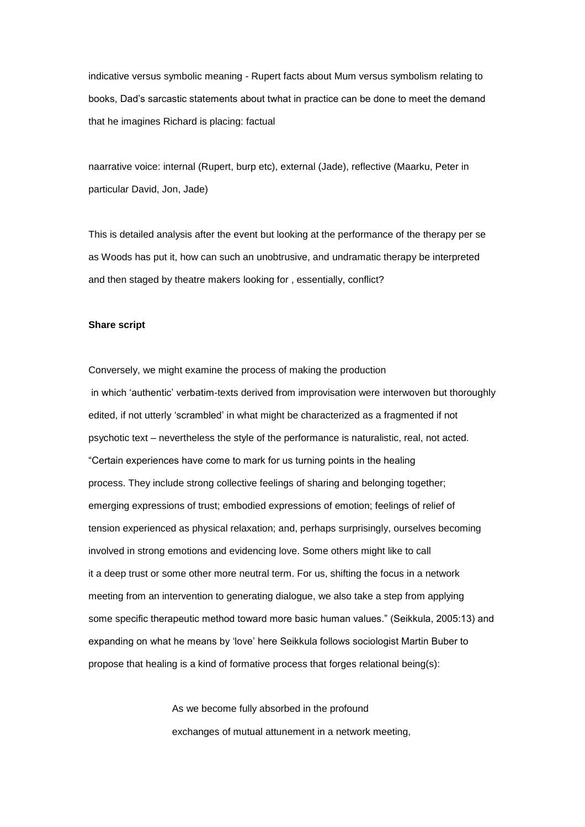indicative versus symbolic meaning - Rupert facts about Mum versus symbolism relating to books, Dad's sarcastic statements about twhat in practice can be done to meet the demand that he imagines Richard is placing: factual

naarrative voice: internal (Rupert, burp etc), external (Jade), reflective (Maarku, Peter in particular David, Jon, Jade)

This is detailed analysis after the event but looking at the performance of the therapy per se as Woods has put it, how can such an unobtrusive, and undramatic therapy be interpreted and then staged by theatre makers looking for , essentially, conflict?

#### **Share script**

Conversely, we might examine the process of making the production in which 'authentic' verbatim-texts derived from improvisation were interwoven but thoroughly edited, if not utterly 'scrambled' in what might be characterized as a fragmented if not psychotic text – nevertheless the style of the performance is naturalistic, real, not acted. "Certain experiences have come to mark for us turning points in the healing process. They include strong collective feelings of sharing and belonging together; emerging expressions of trust; embodied expressions of emotion; feelings of relief of tension experienced as physical relaxation; and, perhaps surprisingly, ourselves becoming involved in strong emotions and evidencing love. Some others might like to call it a deep trust or some other more neutral term. For us, shifting the focus in a network meeting from an intervention to generating dialogue, we also take a step from applying some specific therapeutic method toward more basic human values." (Seikkula, 2005:13) and expanding on what he means by 'love' here Seikkula follows sociologist Martin Buber to propose that healing is a kind of formative process that forges relational being(s):

> As we become fully absorbed in the profound exchanges of mutual attunement in a network meeting,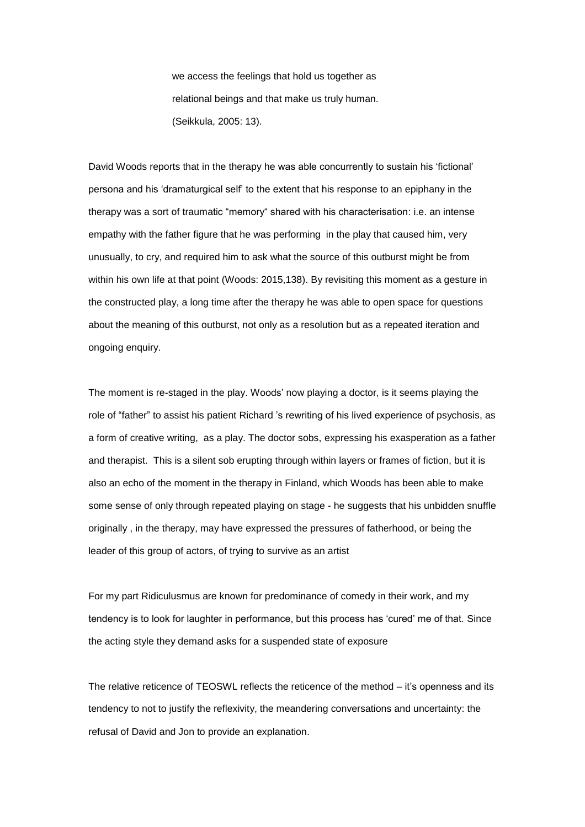we access the feelings that hold us together as relational beings and that make us truly human. (Seikkula, 2005: 13).

David Woods reports that in the therapy he was able concurrently to sustain his 'fictional' persona and his 'dramaturgical self' to the extent that his response to an epiphany in the therapy was a sort of traumatic "memory" shared with his characterisation: i.e. an intense empathy with the father figure that he was performing in the play that caused him, very unusually, to cry, and required him to ask what the source of this outburst might be from within his own life at that point (Woods: 2015,138). By revisiting this moment as a gesture in the constructed play, a long time after the therapy he was able to open space for questions about the meaning of this outburst, not only as a resolution but as a repeated iteration and ongoing enquiry.

The moment is re-staged in the play. Woods' now playing a doctor, is it seems playing the role of "father" to assist his patient Richard 's rewriting of his lived experience of psychosis, as a form of creative writing, as a play. The doctor sobs, expressing his exasperation as a father and therapist. This is a silent sob erupting through within layers or frames of fiction, but it is also an echo of the moment in the therapy in Finland, which Woods has been able to make some sense of only through repeated playing on stage - he suggests that his unbidden snuffle originally , in the therapy, may have expressed the pressures of fatherhood, or being the leader of this group of actors, of trying to survive as an artist

For my part Ridiculusmus are known for predominance of comedy in their work, and my tendency is to look for laughter in performance, but this process has 'cured' me of that. Since the acting style they demand asks for a suspended state of exposure

The relative reticence of TEOSWL reflects the reticence of the method – it's openness and its tendency to not to justify the reflexivity, the meandering conversations and uncertainty: the refusal of David and Jon to provide an explanation.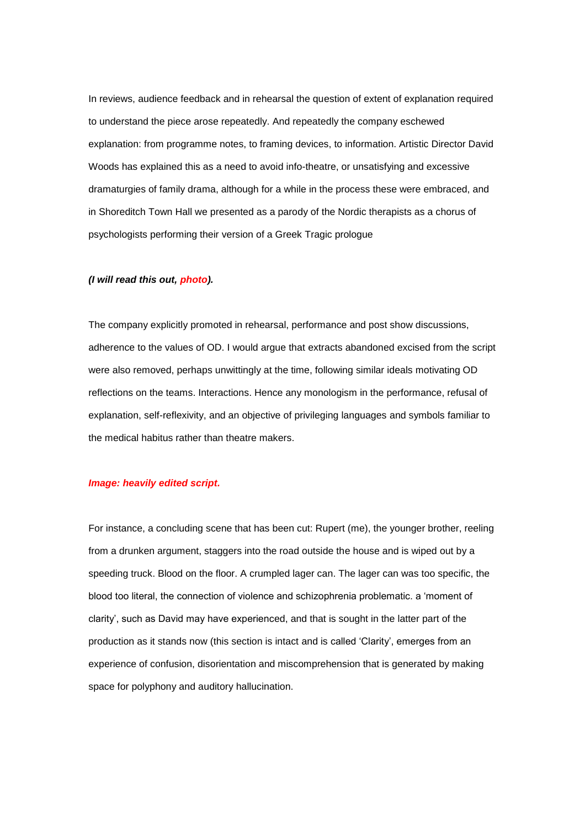In reviews, audience feedback and in rehearsal the question of extent of explanation required to understand the piece arose repeatedly. And repeatedly the company eschewed explanation: from programme notes, to framing devices, to information. Artistic Director David Woods has explained this as a need to avoid info-theatre, or unsatisfying and excessive dramaturgies of family drama, although for a while in the process these were embraced, and in Shoreditch Town Hall we presented as a parody of the Nordic therapists as a chorus of psychologists performing their version of a Greek Tragic prologue

# *(I will read this out, photo).*

The company explicitly promoted in rehearsal, performance and post show discussions, adherence to the values of OD. I would argue that extracts abandoned excised from the script were also removed, perhaps unwittingly at the time, following similar ideals motivating OD reflections on the teams. Interactions. Hence any monologism in the performance, refusal of explanation, self-reflexivity, and an objective of privileging languages and symbols familiar to the medical habitus rather than theatre makers.

## *Image: heavily edited script.*

For instance, a concluding scene that has been cut: Rupert (me), the younger brother, reeling from a drunken argument, staggers into the road outside the house and is wiped out by a speeding truck. Blood on the floor. A crumpled lager can. The lager can was too specific, the blood too literal, the connection of violence and schizophrenia problematic. a 'moment of clarity', such as David may have experienced, and that is sought in the latter part of the production as it stands now (this section is intact and is called 'Clarity', emerges from an experience of confusion, disorientation and miscomprehension that is generated by making space for polyphony and auditory hallucination.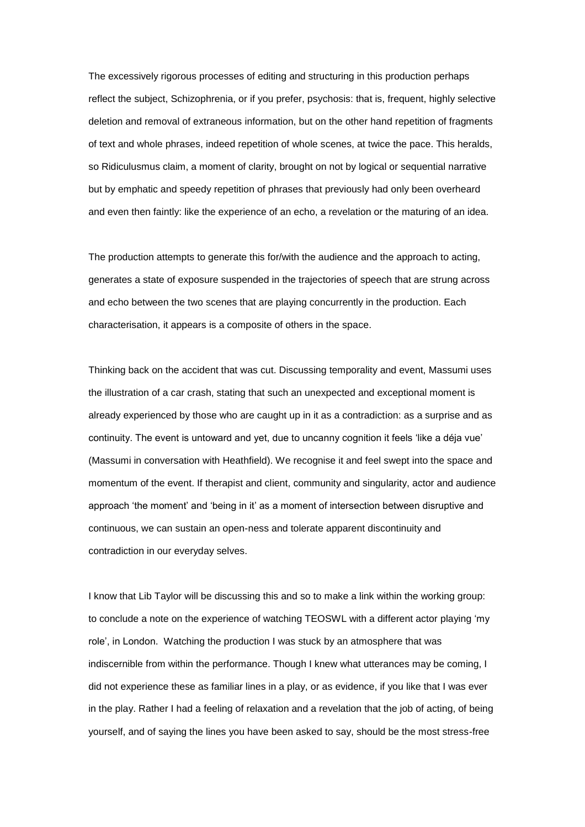The excessively rigorous processes of editing and structuring in this production perhaps reflect the subject, Schizophrenia, or if you prefer, psychosis: that is, frequent, highly selective deletion and removal of extraneous information, but on the other hand repetition of fragments of text and whole phrases, indeed repetition of whole scenes, at twice the pace. This heralds, so Ridiculusmus claim, a moment of clarity, brought on not by logical or sequential narrative but by emphatic and speedy repetition of phrases that previously had only been overheard and even then faintly: like the experience of an echo, a revelation or the maturing of an idea.

The production attempts to generate this for/with the audience and the approach to acting, generates a state of exposure suspended in the trajectories of speech that are strung across and echo between the two scenes that are playing concurrently in the production. Each characterisation, it appears is a composite of others in the space.

Thinking back on the accident that was cut. Discussing temporality and event, Massumi uses the illustration of a car crash, stating that such an unexpected and exceptional moment is already experienced by those who are caught up in it as a contradiction: as a surprise and as continuity. The event is untoward and yet, due to uncanny cognition it feels 'like a déja vue' (Massumi in conversation with Heathfield). We recognise it and feel swept into the space and momentum of the event. If therapist and client, community and singularity, actor and audience approach 'the moment' and 'being in it' as a moment of intersection between disruptive and continuous, we can sustain an open-ness and tolerate apparent discontinuity and contradiction in our everyday selves.

I know that Lib Taylor will be discussing this and so to make a link within the working group: to conclude a note on the experience of watching TEOSWL with a different actor playing 'my role', in London. Watching the production I was stuck by an atmosphere that was indiscernible from within the performance. Though I knew what utterances may be coming, I did not experience these as familiar lines in a play, or as evidence, if you like that I was ever in the play. Rather I had a feeling of relaxation and a revelation that the job of acting, of being yourself, and of saying the lines you have been asked to say, should be the most stress-free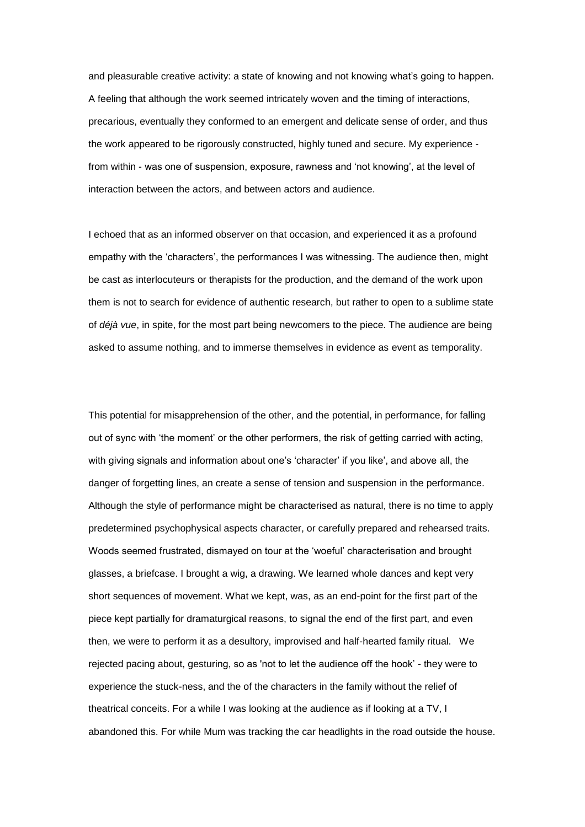and pleasurable creative activity: a state of knowing and not knowing what's going to happen. A feeling that although the work seemed intricately woven and the timing of interactions, precarious, eventually they conformed to an emergent and delicate sense of order, and thus the work appeared to be rigorously constructed, highly tuned and secure. My experience from within - was one of suspension, exposure, rawness and 'not knowing', at the level of interaction between the actors, and between actors and audience.

I echoed that as an informed observer on that occasion, and experienced it as a profound empathy with the 'characters', the performances I was witnessing. The audience then, might be cast as interlocuteurs or therapists for the production, and the demand of the work upon them is not to search for evidence of authentic research, but rather to open to a sublime state of *déjà vue*, in spite, for the most part being newcomers to the piece. The audience are being asked to assume nothing, and to immerse themselves in evidence as event as temporality.

This potential for misapprehension of the other, and the potential, in performance, for falling out of sync with 'the moment' or the other performers, the risk of getting carried with acting, with giving signals and information about one's 'character' if you like', and above all, the danger of forgetting lines, an create a sense of tension and suspension in the performance. Although the style of performance might be characterised as natural, there is no time to apply predetermined psychophysical aspects character, or carefully prepared and rehearsed traits. Woods seemed frustrated, dismayed on tour at the 'woeful' characterisation and brought glasses, a briefcase. I brought a wig, a drawing. We learned whole dances and kept very short sequences of movement. What we kept, was, as an end-point for the first part of the piece kept partially for dramaturgical reasons, to signal the end of the first part, and even then, we were to perform it as a desultory, improvised and half-hearted family ritual. We rejected pacing about, gesturing, so as 'not to let the audience off the hook' - they were to experience the stuck-ness, and the of the characters in the family without the relief of theatrical conceits. For a while I was looking at the audience as if looking at a TV, I abandoned this. For while Mum was tracking the car headlights in the road outside the house.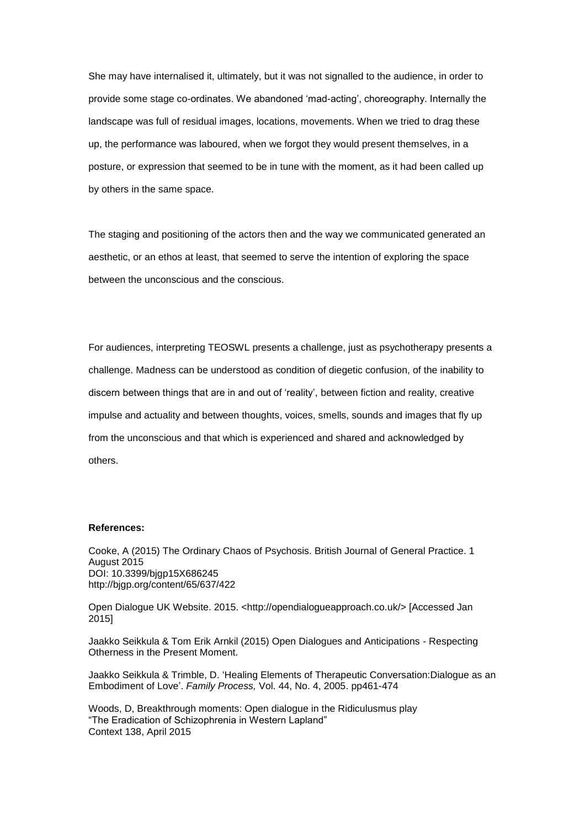She may have internalised it, ultimately, but it was not signalled to the audience, in order to provide some stage co-ordinates. We abandoned 'mad-acting', choreography. Internally the landscape was full of residual images, locations, movements. When we tried to drag these up, the performance was laboured, when we forgot they would present themselves, in a posture, or expression that seemed to be in tune with the moment, as it had been called up by others in the same space.

The staging and positioning of the actors then and the way we communicated generated an aesthetic, or an ethos at least, that seemed to serve the intention of exploring the space between the unconscious and the conscious.

For audiences, interpreting TEOSWL presents a challenge, just as psychotherapy presents a challenge. Madness can be understood as condition of diegetic confusion, of the inability to discern between things that are in and out of 'reality', between fiction and reality, creative impulse and actuality and between thoughts, voices, smells, sounds and images that fly up from the unconscious and that which is experienced and shared and acknowledged by others.

#### **References:**

Cooke, A (2015) The Ordinary Chaos of Psychosis. British Journal of General Practice. 1 August 2015 DOI: 10.3399/bjgp15X686245 http://bjgp.org/content/65/637/422

Open Dialogue UK Website. 2015. <http://opendialogueapproach.co.uk/> [Accessed Jan 2015]

Jaakko Seikkula & Tom Erik Arnkil (2015) Open Dialogues and Anticipations - Respecting Otherness in the Present Moment.

Jaakko Seikkula & Trimble, D. 'Healing Elements of Therapeutic Conversation:Dialogue as an Embodiment of Love'. *Family Process,* Vol. 44, No. 4, 2005. pp461-474

Woods, D, Breakthrough moments: Open dialogue in the Ridiculusmus play "The Eradication of Schizophrenia in Western Lapland" Context 138, April 2015